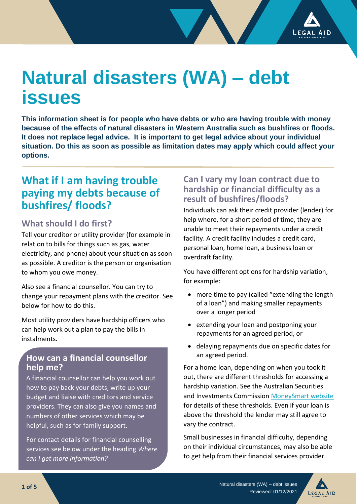

# **Natural disasters (WA) – debt issues**

**This information sheet is for people who have debts or who are having trouble with money because of the effects of natural disasters in Western Australia such as bushfires or floods. It does not replace legal advice. It is important to get legal advice about your individual situation. Do this as soon as possible as limitation dates may apply which could affect your options.**

# **What if I am having trouble paying my debts because of bushfires/ floods?**

## **What should I do first?**

Tell your creditor or utility provider (for example in relation to bills for things such as gas, water electricity, and phone) about your situation as soon as possible. A creditor is the person or organisation to whom you owe money.

Also see a financial counsellor. You can try to change your repayment plans with the creditor. See below for how to do this.

Most utility providers have hardship officers who can help work out a plan to pay the bills in instalments.

#### **How can a financial counsellor help me?**

A financial counsellor can help you work out how to pay back your debts, write up your budget and liaise with creditors and service providers. They can also give you names and numbers of other services which may be helpful, such as for family support.

For contact details for financial counselling services see below under the heading *Where can I get more information?*

#### **Can I vary my loan contract due to hardship or financial difficulty as a result of bushfires/floods?**

Individuals can ask their credit provider (lender) for help where, for a short period of time, they are unable to meet their repayments under a credit facility. A credit facility includes a credit card, personal loan, home loan, a business loan or overdraft facility.

You have different options for hardship variation, for example:

- more time to pay (called "extending the length of a loan") and making smaller repayments over a longer period
- extending your loan and postponing your repayments for an agreed period, or
- delaying repayments due on specific dates for an agreed period.

For a home loan, depending on when you took it out, there are different thresholds for accessing a hardship variation. See the Australian Securities and Investments Commission [MoneySmart website](https://moneysmart.gov.au/) for details of these thresholds. Even if your loan is above the threshold the lender may still agree to vary the contract.

Small businesses in financial difficulty, depending on their individual circumstances, may also be able to get help from their financial services provider.



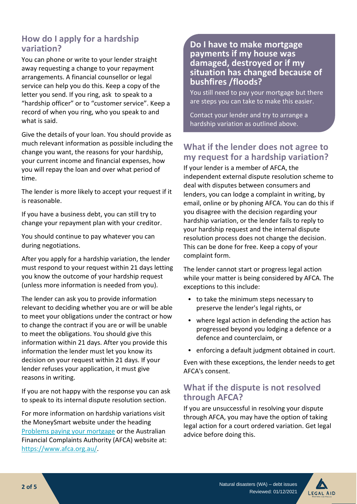## **How do I apply for a hardship variation?**

You can phone or write to your lender straight away requesting a change to your repayment arrangements. A financial counsellor or legal service can help you do this. Keep a copy of the letter you send. If you ring, ask to speak to a "hardship officer" or to "customer service". Keep a record of when you ring, who you speak to and what is said.

Give the details of your loan. You should provide as much relevant information as possible including the change you want, the reasons for your hardship, your current income and financial expenses, how you will repay the loan and over what period of time.

The lender is more likely to accept your request if it is reasonable.

If you have a business debt, you can still try to change your repayment plan with your creditor.

You should continue to pay whatever you can during negotiations.

After you apply for a hardship variation, the lender must respond to your request within 21 days letting you know the outcome of your hardship request (unless more information is needed from you).

The lender can ask you to provide information relevant to deciding whether you are or will be able to meet your obligations under the contract or how to change the contract if you are or will be unable to meet the obligations. You should give this information within 21 days. After you provide this information the lender must let you know its decision on your request within 21 days. If your lender refuses your application, it must give reasons in writing.

If you are not happy with the response you can ask to speak to its internal dispute resolution section.

For more information on hardship variations visit the [MoneySmart](https://moneysmart.gov.au/home-loans/problems-paying-your-mortgage) website under the heading [Problems paying your mortgage](https://moneysmart.gov.au/home-loans/problems-paying-your-mortgage) or the Australian Financial Complaints Authority (AFCA) website at: [https://www.afca.org.au/.](https://www.afca.org.au/)

#### **Do I have to make mortgage payments if my house was damaged, destroyed or if my situation has changed because of bushfires /floods?**

You still need to pay your mortgage but there are steps you can take to make this easier.

Contact your lender and try to arrange a hardship variation as outlined above.

## **What if the lender does not agree to my request for a hardship variation?**

If your lender is a member of AFCA, the independent external dispute resolution scheme to deal with disputes between consumers and lenders, you can lodge a complaint in writing, by email, online or by phoning AFCA. You can do this if you disagree with the decision regarding your hardship variation, or the lender fails to reply to your hardship request and the internal dispute resolution process does not change the decision. This can be done for free. Keep a copy of your complaint form.

The lender cannot start or progress legal action while your matter is being considered by AFCA. The exceptions to this include:

- to take the minimum steps necessary to preserve the lender's legal rights, or
- where legal action in defending the action has progressed beyond you lodging a defence or a defence and counterclaim, or
- enforcing a default judgment obtained in court.

Even with these exceptions, the lender needs to get AFCA's consent.

## **What if the dispute is not resolved through AFCA?**

If you are unsuccessful in resolving your dispute through AFCA, you may have the option of taking legal action for a court ordered variation. Get legal advice before doing this.

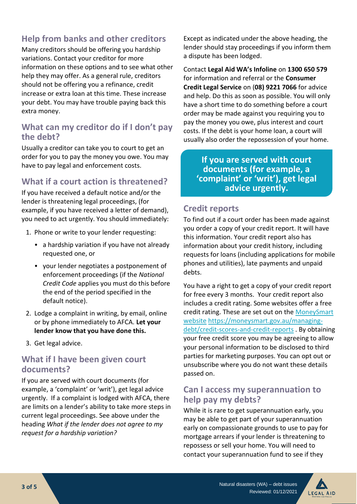# **Help from banks and other creditors**

Many creditors should be offering you hardship variations. Contact your creditor for more information on these options and to see what other help they may offer. As a general rule, creditors should not be offering you a refinance, credit increase or extra loan at this time. These increase your debt. You may have trouble paying back this extra money.

## **What can my creditor do if I don't pay the debt?**

Usually a creditor can take you to court to get an order for you to pay the money you owe. You may have to pay legal and enforcement costs.

## **What if a court action is threatened?**

If you have received a default notice and/or the lender is threatening legal proceedings, (for example, if you have received a letter of demand), you need to act urgently. You should immediately:

- 1. Phone or write to your lender requesting:
	- a hardship variation if you have not already requested one, or
	- your lender negotiates a postponement of enforcement proceedings (if the *National Credit Code* applies you must do this before the end of the period specified in the default notice).
- 2. Lodge a complaint in writing, by email, online or by phone immediately to AFCA. **Let your lender know that you have done this.**
- 3. Get legal advice.

## **What if I have been given court documents?**

If you are served with court documents (for example, a 'complaint' or 'writ'), get legal advice urgently. If a complaint is lodged with AFCA, there are limits on a lender's ability to take more steps in current legal proceedings. See above under the heading *What if the lender does not agree to my request for a hardship variation?*

Except as indicated under the above heading, the lender should stay proceedings if you inform them a dispute has been lodged.

Contact **Legal Aid WA's Infoline** on **1300 650 579** for information and referral or the **Consumer Credit Legal Service** on (**08) 9221 7066** for advice and help. Do this as soon as possible. You will only have a short time to do something before a court order may be made against you requiring you to pay the money you owe, plus interest and court costs. If the debt is your home loan, a court will usually also order the repossession of your home.

**If you are served with court documents (for example, a 'complaint' or 'writ'), get legal advice urgently.** 

## **Credit reports**

To find out if a court order has been made against you order a copy of your credit report. It will have this information. Your credit report also has information about your credit history, including requests for loans (including applications for mobile phones and utilities), late payments and unpaid debts.

You have a right to get a copy of your credit report for free every 3 months. Your credit report also includes a credit rating. Some websites offer a free credit rating. These are set out on the [MoneySmart](https://moneysmart.gov.au/managing-debt/credit-scores-and-credit-reports)  [website](https://moneysmart.gov.au/managing-debt/credit-scores-and-credit-reports) [https://moneysmart.gov.au/managing](https://moneysmart.gov.au/managing-debt/credit-scores-and-credit-reports)[debt/credit-scores-and-credit-reports](https://moneysmart.gov.au/managing-debt/credit-scores-and-credit-reports) . By obtaining your free credit score you may be agreeing to allow your personal information to be disclosed to third parties for marketing purposes. You can opt out or unsubscribe where you do not want these details passed on.

#### **Can I access my superannuation to help pay my debts?**

While it is rare to get superannuation early, you may be able to get part of your superannuation early on compassionate grounds to use to pay for mortgage arrears if your lender is threatening to repossess or sell your home. You will need to contact your superannuation fund to see if they

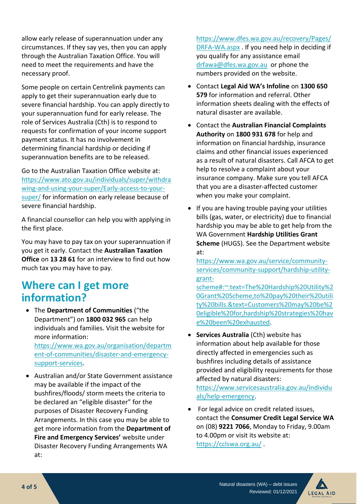allow early release of superannuation under any circumstances. If they say yes, then you can apply through the Australian Taxation Office. You will need to meet the requirements and have the necessary proof.

Some people on certain Centrelink payments can apply to get their superannuation early due to severe financial hardship. You can apply directly to your superannuation fund for early release. The role of Services Australia (Cth) is to respond to requests for confirmation of your income support payment status. It has no involvement in determining financial hardship or deciding if superannuation benefits are to be released.

Go to the Australian Taxation Office website at: [https://www.ato.gov.au/individuals/super/withdra](https://www.ato.gov.au/individuals/super/withdrawing-and-using-your-super/Early-access-to-your-super/) [wing-and-using-your-super/Early-access-to-your](https://www.ato.gov.au/individuals/super/withdrawing-and-using-your-super/Early-access-to-your-super/)[super/](https://www.ato.gov.au/individuals/super/withdrawing-and-using-your-super/Early-access-to-your-super/) for information on early release because of severe financial hardship.

A financial counsellor can help you with applying in the first place.

You may have to pay tax on your superannuation if you get it early. Contact the **Australian Taxation Office** on **13 28 61** for an interview to find out how much tax you may have to pay.

# **Where can I get more information?**

• The **Department of Communities** ("the Department") on **1800 032 965** can help individuals and families. Visit the website for more information:

[https://www.wa.gov.au/organisation/departm](https://www.wa.gov.au/organisation/department-of-communities/disaster-and-emergency-support-services) [ent-of-communities/disaster-and-emergency](https://www.wa.gov.au/organisation/department-of-communities/disaster-and-emergency-support-services)[support-services.](https://www.wa.gov.au/organisation/department-of-communities/disaster-and-emergency-support-services)

• Australian and/or State Government assistance may be available if the impact of the bushfires/floods/ storm meets the criteria to be declared an "eligible disaster" for the purposes of Disaster Recovery Funding Arrangements. In this case you may be able to get more information from the **Department of Fire and Emergency Services'** website under Disaster Recovery Funding Arrangements WA at:

[https://www.dfes.wa.gov.au/recovery/Pages/](https://www.dfes.wa.gov.au/recovery/Pages/DRFA-WA.aspx) [DRFA-WA.aspx](https://www.dfes.wa.gov.au/recovery/Pages/DRFA-WA.aspx) . If you need help in deciding if you qualify for any assistance email [drfawa@dfes.wa.gov.au](mailto:drfawa@dfes.wa.gov.au) or phone the numbers provided on the website.

- Contact **Legal Aid WA's Infoline** on **1300 650 579** for information and referral. Other information sheets dealing with the effects of natural disaster are available.
- Contact the **Australian Financial Complaints Authority** on **1800 931 678** for help and information on financial hardship, insurance claims and other financial issues experienced as a result of natural disasters. Call AFCA to get help to resolve a complaint about your insurance company. Make sure you tell AFCA that you are a disaster-affected customer when you make your complaint.
- If you are having trouble paying your utilities bills (gas, water, or electricity) due to financial hardship you may be able to get help from the WA Government **Hardship Utilities Grant Scheme** (HUGS). See the Department website at:

[https://www.wa.gov.au/service/community](https://www.wa.gov.au/service/community-services/community-support/hardship-utility-grant-scheme#:~:text=The%20Hardship%20Utility%20Grant%20Scheme,to%20pay%20their%20utility%20bills.&text=Customers%20may%20be%20eligible%20for,hardship%20strategies%20have%20been%20exhausted)[services/community-support/hardship-utility](https://www.wa.gov.au/service/community-services/community-support/hardship-utility-grant-scheme#:~:text=The%20Hardship%20Utility%20Grant%20Scheme,to%20pay%20their%20utility%20bills.&text=Customers%20may%20be%20eligible%20for,hardship%20strategies%20have%20been%20exhausted)[grant-](https://www.wa.gov.au/service/community-services/community-support/hardship-utility-grant-scheme#:~:text=The%20Hardship%20Utility%20Grant%20Scheme,to%20pay%20their%20utility%20bills.&text=Customers%20may%20be%20eligible%20for,hardship%20strategies%20have%20been%20exhausted)

[scheme#:~:text=The%20Hardship%20Utility%2](https://www.wa.gov.au/service/community-services/community-support/hardship-utility-grant-scheme#:~:text=The%20Hardship%20Utility%20Grant%20Scheme,to%20pay%20their%20utility%20bills.&text=Customers%20may%20be%20eligible%20for,hardship%20strategies%20have%20been%20exhausted) [0Grant%20Scheme,to%20pay%20their%20utili](https://www.wa.gov.au/service/community-services/community-support/hardship-utility-grant-scheme#:~:text=The%20Hardship%20Utility%20Grant%20Scheme,to%20pay%20their%20utility%20bills.&text=Customers%20may%20be%20eligible%20for,hardship%20strategies%20have%20been%20exhausted) [ty%20bills.&text=Customers%20may%20be%2](https://www.wa.gov.au/service/community-services/community-support/hardship-utility-grant-scheme#:~:text=The%20Hardship%20Utility%20Grant%20Scheme,to%20pay%20their%20utility%20bills.&text=Customers%20may%20be%20eligible%20for,hardship%20strategies%20have%20been%20exhausted) [0eligible%20for,hardship%20strategies%20hav](https://www.wa.gov.au/service/community-services/community-support/hardship-utility-grant-scheme#:~:text=The%20Hardship%20Utility%20Grant%20Scheme,to%20pay%20their%20utility%20bills.&text=Customers%20may%20be%20eligible%20for,hardship%20strategies%20have%20been%20exhausted) [e%20been%20exhausted.](https://www.wa.gov.au/service/community-services/community-support/hardship-utility-grant-scheme#:~:text=The%20Hardship%20Utility%20Grant%20Scheme,to%20pay%20their%20utility%20bills.&text=Customers%20may%20be%20eligible%20for,hardship%20strategies%20have%20been%20exhausted)

• **Services Australia** (Cth) website has information about help available for those directly affected in emergencies such as bushfires including details of assistance provided and eligibility requirements for those affected by natural disasters:

[https://www.servicesaustralia.gov.au/individu](https://www.servicesaustralia.gov.au/individuals/help-emergency) [als/help-emergency.](https://www.servicesaustralia.gov.au/individuals/help-emergency)

• For legal advice on credit related issues, contact the **Consumer Credit Legal Service WA** on (08) **9221 7066**, Monday to Friday, 9.00am to 4.00pm or visit its website at: <https://cclswa.org.au/> .